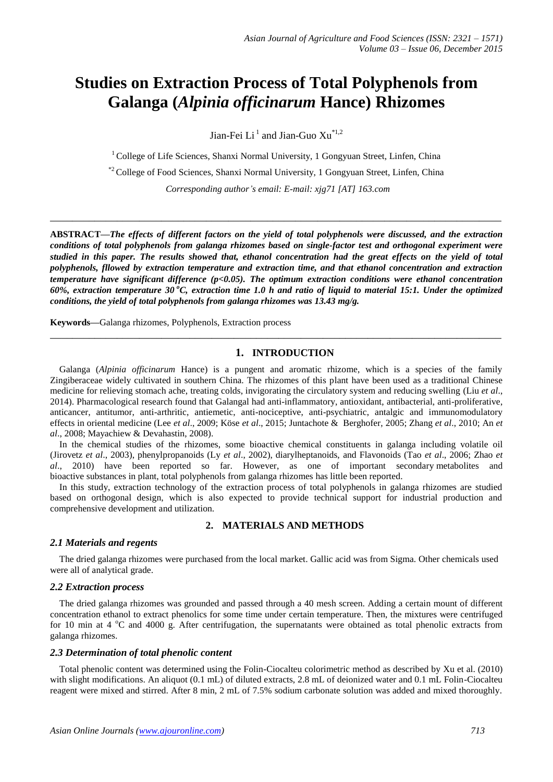# **Studies on Extraction Process of Total Polyphenols from Galanga (***Alpinia officinarum* **Hance) Rhizomes**

Jian-Fei  $Li<sup>1</sup>$  and Jian-Guo  $Xu<sup>*1,2</sup>$ 

 $1$  College of Life Sciences, Shanxi Normal University, 1 Gongyuan Street, Linfen, China

\*<sup>2</sup> College of Food Sciences, Shanxi Normal University, 1 Gongyuan Street, Linfen, China

*Corresponding author's email: E-mail: xjg71 [AT] 163.com*

**\_\_\_\_\_\_\_\_\_\_\_\_\_\_\_\_\_\_\_\_\_\_\_\_\_\_\_\_\_\_\_\_\_\_\_\_\_\_\_\_\_\_\_\_\_\_\_\_\_\_\_\_\_\_\_\_\_\_\_\_\_\_\_\_\_\_\_\_\_\_\_\_\_\_\_\_\_\_\_\_\_**

**ABSTRACT—***The effects of different factors on the yield of total polyphenols were discussed, and the extraction conditions of total polyphenols from galanga rhizomes based on single-factor test and orthogonal experiment were studied in this paper. The results showed that, ethanol concentration had the great effects on the yield of total polyphenols, fllowed by extraction temperature and extraction time, and that ethanol concentration and extraction temperature have significant difference (p<0.05). The optimum extraction conditions were ethanol concentration*  60%, extraction temperature 30 °C, extraction time 1.0 *h* and ratio of liquid to material 15:1. Under the optimized *conditions, the yield of total polyphenols from galanga rhizomes was 13.43 mg/g.*

**Keywords—**Galanga rhizomes, Polyphenols, Extraction process

## **1. INTRODUCTION**

**\_\_\_\_\_\_\_\_\_\_\_\_\_\_\_\_\_\_\_\_\_\_\_\_\_\_\_\_\_\_\_\_\_\_\_\_\_\_\_\_\_\_\_\_\_\_\_\_\_\_\_\_\_\_\_\_\_\_\_\_\_\_\_\_\_\_\_\_\_\_\_\_\_\_\_\_\_\_\_\_\_**

Galanga (*Alpinia officinarum* Hance) is a pungent and aromatic rhizome, which is a species of the family Zingiberaceae widely cultivated in southern China. The rhizomes of this plant have been used as a traditional Chinese medicine for relieving stomach ache, treating colds, invigorating the circulatory system and reducing swelling (Liu *et al*., 2014). Pharmacological research found that Galangal had anti-inflammatory, antioxidant, antibacterial, anti-proliferative, anticancer, antitumor, anti-arthritic, antiemetic, anti-nociceptive, anti-psychiatric, antalgic and immunomodulatory effects in oriental medicine (Lee *et al*., 2009; Köse *et al*., 2015; Juntachote & Berghofer, 2005; Zhang *et al*., 2010; An *et al*., 2008; Mayachiew & Devahastin, 2008).

In the chemical studies of the rhizomes, some bioactive chemical constituents in galanga including volatile oil (Jirovetz *et al*., 2003), phenylpropanoids (Ly *et al*., 2002), diarylheptanoids, and Flavonoids (Tao *et al*., 2006; Zhao *et al*., 2010) have been reported so far. However, as one of important secondary metabolites and bioactive substances in plant, total polyphenols from galanga rhizomes has little been reported.

In this study, extraction technology of the extraction process of total polyphenols in galanga rhizomes are studied based on orthogonal design, which is also expected to provide technical support for industrial production and comprehensive development and utilization.

## **2. MATERIALS AND METHODS**

## *2.1 Materials and regents*

The dried galanga rhizomes were purchased from the local market. Gallic acid was from Sigma. Other chemicals used were all of analytical grade.

## *2.2 Extraction process*

The dried galanga rhizomes was grounded and passed through a 40 mesh screen. Adding a certain mount of different concentration ethanol to extract phenolics for some time under certain temperature. Then, the mixtures were centrifuged for 10 min at 4  $^{\circ}$ C and 4000 g. After centrifugation, the supernatants were obtained as total phenolic extracts from galanga rhizomes.

### *2.3 Determination of total phenolic content*

Total phenolic content was determined using the Folin-Ciocalteu colorimetric method as described by Xu et al. (2010) with slight modifications. An aliquot (0.1 mL) of diluted extracts, 2.8 mL of deionized water and 0.1 mL Folin-Ciocalteu reagent were mixed and stirred. After 8 min, 2 mL of 7.5% sodium carbonate solution was added and mixed thoroughly.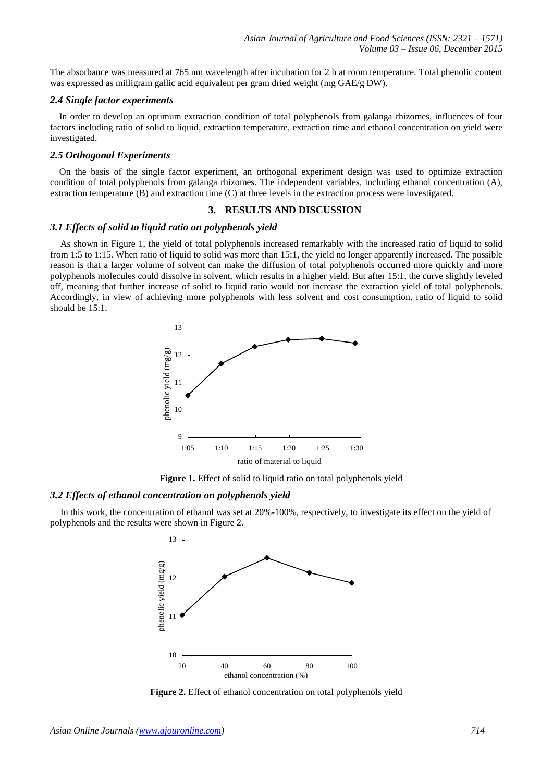The absorbance was measured at 765 nm wavelength after incubation for 2 h at room temperature. Total phenolic content was expressed as milligram gallic acid equivalent per gram dried weight (mg GAE/g DW).

## *2.4 Single factor experiments*

In order to develop an optimum extraction condition of total polyphenols from galanga rhizomes, influences of four factors including ratio of solid to liquid, extraction temperature, extraction time and ethanol concentration on yield were investigated.

#### *2.5 Orthogonal Experiments*

On the basis of the single factor experiment, an orthogonal experiment design was used to optimize extraction condition of total polyphenols from galanga rhizomes. The independent variables, including ethanol concentration (A), extraction temperature (B) and extraction time (C) at three levels in the extraction process were investigated.

## **3. RESULTS AND DISCUSSION**

#### *3.1 Effects of solid to liquid ratio on polyphenols yield*

As shown in Figure 1, the yield of total polyphenols increased remarkably with the increased ratio of liquid to solid from 1:5 to 1:15. When ratio of liquid to solid was more than 15:1, the yield no longer apparently increased. The possible reason is that a larger volume of solvent can make the diffusion of total polyphenols occurred more quickly and more polyphenols molecules could dissolve in solvent, which results in a higher yield. But after 15:1, the curve slightly leveled off, meaning that further increase of solid to liquid ratio would not increase the extraction yield of total polyphenols. Accordingly, in view of achieving more polyphenols with less solvent and cost consumption, ratio of liquid to solid should be 15:1.



**Figure 1.** Effect of solid to liquid ratio on total polyphenols yield

#### *3.2 Effects of ethanol concentration on polyphenols yield*

In this work, the concentration of ethanol was set at 20%-100%, respectively, to investigate its effect on the yield of polyphenols and the results were shown in Figure 2.



**Figure 2.** Effect of ethanol concentration on total polyphenols yield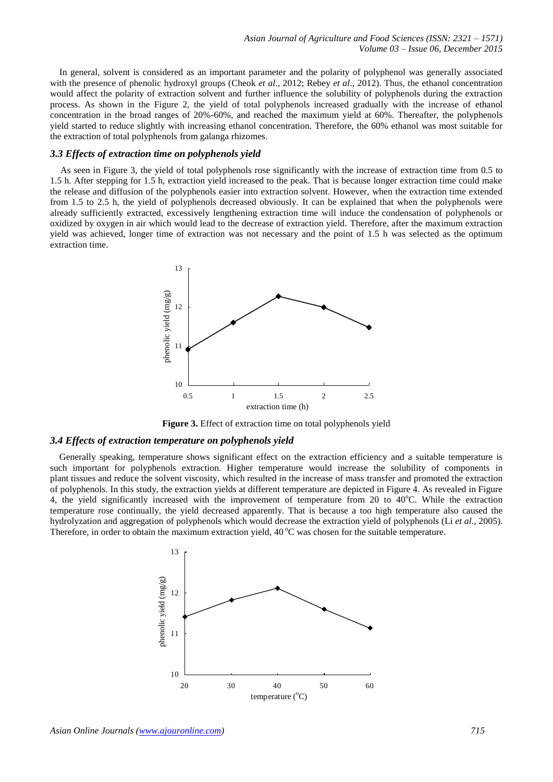In general, solvent is considered as an important parameter and the polarity of polyphenol was generally associated with the presence of phenolic hydroxyl groups (Cheok *et al*., 2012; Rebey *et al*., 2012). Thus, the ethanol concentration would affect the polarity of extraction solvent and further influence the solubility of polyphenols during the extraction process. As shown in the Figure 2, the yield of total polyphenols increased gradually with the increase of ethanol concentration in the broad ranges of 20%-60%, and reached the maximum yield at 60%. Thereafter, the polyphenols yield started to reduce slightly with increasing ethanol concentration. Therefore, the 60% ethanol was most suitable for the extraction of total polyphenols from galanga rhizomes.

#### *3.3 Effects of extraction time on polyphenols yield*

As seen in Figure 3, the yield of total polyphenols rose significantly with the increase of extraction time from 0.5 to 1.5 h. After stepping for 1.5 h, extraction yield increased to the peak. That is because longer extraction time could make the release and diffusion of the polyphenols easier into extraction solvent. However, when the extraction time extended from 1.5 to 2.5 h, the yield of polyphenols decreased obviously. It can be explained that when the polyphenols were already sufficiently extracted, excessively lengthening extraction time will induce the condensation of polyphenols or oxidized by oxygen in air which would lead to the decrease of extraction yield. Therefore, after the maximum extraction yield was achieved, longer time of extraction was not necessary and the point of 1.5 h was selected as the optimum extraction time.



**Figure 3.** Effect of extraction time on total polyphenols yield

#### *3.4 Effects of extraction temperature on polyphenols yield*

Generally speaking, temperature shows significant effect on the extraction efficiency and a suitable temperature is such important for polyphenols extraction. Higher temperature would increase the solubility of components in plant tissues and reduce the solvent viscosity, which resulted in the increase of mass transfer and promoted the extraction of polyphenols. In this study, the extraction yields at different temperature are depicted in Figure 4. As revealed in Figure 4, the yield significantly increased with the improvement of temperature from 20 to 40°C. While the extraction temperature rose continually, the yield decreased apparently. That is because a too high temperature also caused the hydrolyzation and aggregation of polyphenols which would decrease the extraction yield of polyphenols (Li *et al*., 2005). Therefore, in order to obtain the maximum extraction yield, 40 °C was chosen for the suitable temperature.

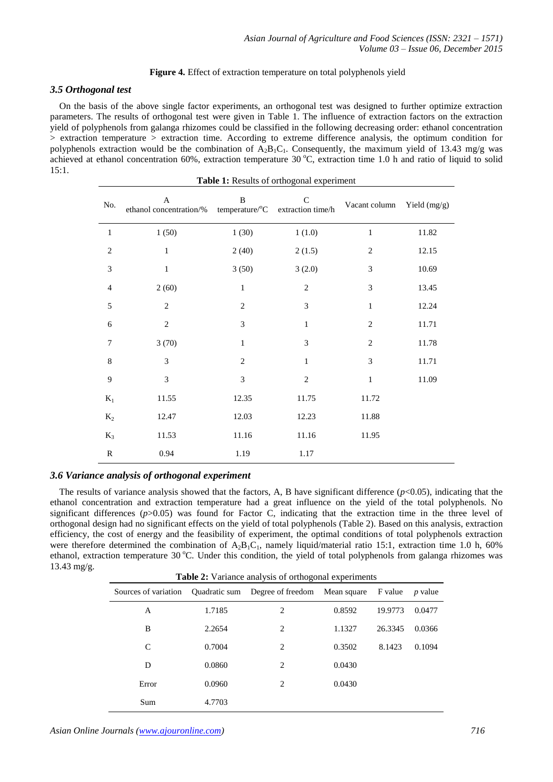## **Figure 4.** Effect of extraction temperature on total polyphenols yield

# *3.5 Orthogonal test*

On the basis of the above single factor experiments, an orthogonal test was designed to further optimize extraction parameters. The results of orthogonal test were given in Table 1. The influence of extraction factors on the extraction yield of polyphenols from galanga rhizomes could be classified in the following decreasing order: ethanol concentration > extraction temperature > extraction time. According to extreme difference analysis, the optimum condition for polyphenols extraction would be the combination of  $A_2B_1C_1$ . Consequently, the maximum yield of 13.43 mg/g was achieved at ethanol concentration 60%, extraction temperature 30 °C, extraction time 1.0 h and ratio of liquid to solid 15:1. **Table 1:** Results of orthogonal experiment

| <b>Table 1:</b> Results of orthogonal experiment |                                                                          |                |                             |                             |       |  |  |  |  |  |
|--------------------------------------------------|--------------------------------------------------------------------------|----------------|-----------------------------|-----------------------------|-------|--|--|--|--|--|
| No.                                              | $\mathbf{A}$<br>ethanol concentration/% temperature/°C extraction time/h | $\overline{B}$ | $\mathcal{C}$               | Vacant column Yield (mg/g)  |       |  |  |  |  |  |
| $\mathbf{1}$                                     | 1(50)                                                                    | 1(30)          | 1(1.0)                      | $\mathbf{1}$                | 11.82 |  |  |  |  |  |
| $\overline{c}$                                   | $\,1$                                                                    | 2(40)          | 2(1.5)                      | $\overline{c}$              | 12.15 |  |  |  |  |  |
| $\mathfrak{Z}$                                   | $\,1$                                                                    | 3(50)          | 3(2.0)                      | 3                           | 10.69 |  |  |  |  |  |
| $\overline{4}$                                   | 2(60)                                                                    | $\,1$          | $\overline{c}$              | 3                           | 13.45 |  |  |  |  |  |
| 5                                                | $\sqrt{2}$                                                               | $\mathbf{2}$   | $\ensuremath{\mathfrak{Z}}$ | $\mathbf{1}$                | 12.24 |  |  |  |  |  |
| $\sqrt{6}$                                       | $\sqrt{2}$                                                               | 3              | $\,1$                       | $\overline{c}$              | 11.71 |  |  |  |  |  |
| $\overline{7}$                                   | 3(70)                                                                    | $\,1$          | $\mathfrak{Z}$              | $\mathbf{2}$                | 11.78 |  |  |  |  |  |
| $\,8\,$                                          | $\ensuremath{\mathfrak{Z}}$                                              | $\sqrt{2}$     | $\,1\,$                     | $\ensuremath{\mathfrak{Z}}$ | 11.71 |  |  |  |  |  |
| $\mathbf{9}$                                     | $\mathfrak{Z}$                                                           | 3              | $\sqrt{2}$                  | $\,1\,$                     | 11.09 |  |  |  |  |  |
| $K_1$                                            | 11.55                                                                    | 12.35          | 11.75                       | 11.72                       |       |  |  |  |  |  |
| $K_2$                                            | 12.47                                                                    | 12.03          | 12.23                       | 11.88                       |       |  |  |  |  |  |
| $K_3$                                            | 11.53                                                                    | 11.16          | 11.16                       | 11.95                       |       |  |  |  |  |  |
| R                                                | 0.94                                                                     | 1.19           | 1.17                        |                             |       |  |  |  |  |  |

## *3.6 Variance analysis of orthogonal experiment*

The results of variance analysis showed that the factors, A, B have significant difference  $(p<0.05)$ , indicating that the ethanol concentration and extraction temperature had a great influence on the yield of the total polyphenols. No significant differences ( $p > 0.05$ ) was found for Factor C, indicating that the extraction time in the three level of orthogonal design had no significant effects on the yield of total polyphenols (Table 2). Based on this analysis, extraction efficiency, the cost of energy and the feasibility of experiment, the optimal conditions of total polyphenols extraction were therefore determined the combination of  $A_2B_1C_1$ , namely liquid/material ratio 15:1, extraction time 1.0 h, 60% ethanol, extraction temperature 30 °C. Under this condition, the yield of total polyphenols from galanga rhizomes was 13.43 mg/g.

| Sources of variation |        | Quadratic sum Degree of freedom Mean square |        | F value | <i>p</i> value |
|----------------------|--------|---------------------------------------------|--------|---------|----------------|
| A                    | 1.7185 | 2                                           | 0.8592 | 19.9773 | 0.0477         |
| B                    | 2.2654 | 2                                           | 1.1327 | 26.3345 | 0.0366         |
| C                    | 0.7004 | 2                                           | 0.3502 | 8.1423  | 0.1094         |
| D                    | 0.0860 | 2                                           | 0.0430 |         |                |
| Error                | 0.0960 | 2                                           | 0.0430 |         |                |
| Sum                  | 4.7703 |                                             |        |         |                |